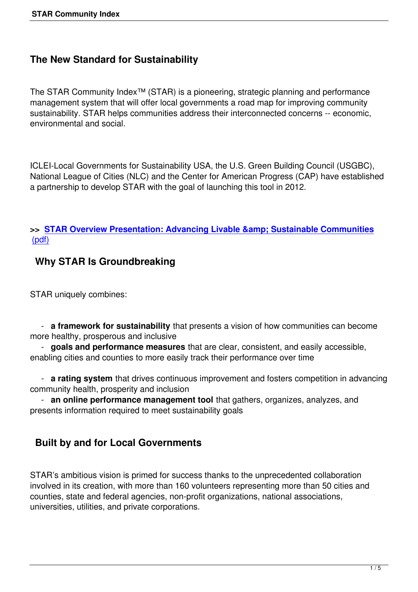## **The New Standard for Sustainability**

The STAR Community Index™ (STAR) is a pioneering, strategic planning and performance management system that will offer local governments a road map for improving community sustainability. STAR helps communities address their interconnected concerns -- economic, environmental and social.

ICLEI-Local Governments for Sustainability USA, the U.S. Green Building Council (USGBC), National League of Cities (NLC) and the Center for American Progress (CAP) have established a partnership to develop STAR with the goal of launching this tool in 2012.

#### **>> STAR Overview Presentation: Advancing Livable & amp; Sustainable Communities** (pdf)

## **[Why STAR Is Groundbreaking](http://www.icleiusa.org/library/documents/STAR_overview_4.11.pdf)**

STAR uniquely combines:

 - **a framework for sustainability** that presents a vision of how communities can become more healthy, prosperous and inclusive

 - **goals and performance measures** that are clear, consistent, and easily accessible, enabling cities and counties to more easily track their performance over time

 - **a rating system** that drives continuous improvement and fosters competition in advancing community health, prosperity and inclusion

 - **an online performance management tool** that gathers, organizes, analyzes, and presents information required to meet sustainability goals

## **Built by and for Local Governments**

STAR's ambitious vision is primed for success thanks to the unprecedented collaboration involved in its creation, with more than 160 volunteers representing more than 50 cities and counties, state and federal agencies, non-profit organizations, national associations, universities, utilities, and private corporations.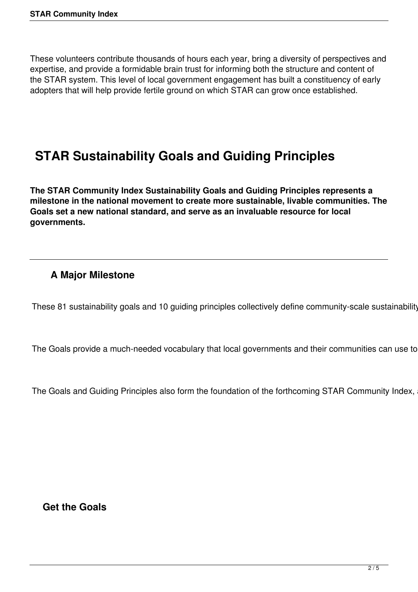These volunteers contribute thousands of hours each year, bring a diversity of perspectives and expertise, and provide a formidable brain trust for informing both the structure and content of the STAR system. This level of local government engagement has built a constituency of early adopters that will help provide fertile ground on which STAR can grow once established.

# **STAR Sustainability Goals and Guiding Principles**

**The STAR Community Index Sustainability Goals and Guiding Principles represents a milestone in the national movement to create more sustainable, livable communities. The Goals set a new national standard, and serve as an invaluable resource for local governments.**

## **A Major Milestone**

These 81 sustainability goals and 10 guiding principles collectively define community-scale sustainability

The Goals provide a much-needed vocabulary that local governments and their communities can use to

The Goals and Guiding Principles also form the foundation of the forthcoming STAR Community Index,

**Get the Goals**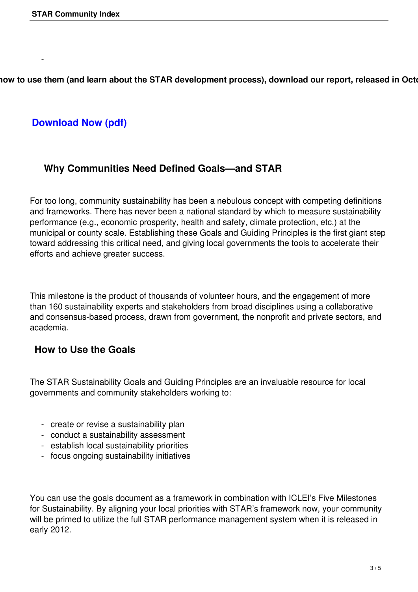now to use them (and learn about the STAR development process), download our report, released in Octobe

**Download Now (pdf)**

 $\sim$ 

### **Why Communities Need Defined Goals—and STAR**

For too long, community sustainability has been a nebulous concept with competing definitions and frameworks. There has never been a national standard by which to measure sustainability performance (e.g., economic prosperity, health and safety, climate protection, etc.) at the municipal or county scale. Establishing these Goals and Guiding Principles is the first giant step toward addressing this critical need, and giving local governments the tools to accelerate their efforts and achieve greater success.

This milestone is the product of thousands of volunteer hours, and the engagement of more than 160 sustainability experts and stakeholders from broad disciplines using a collaborative and consensus-based process, drawn from government, the nonprofit and private sectors, and academia.

#### **How to Use the Goals**

The STAR Sustainability Goals and Guiding Principles are an invaluable resource for local governments and community stakeholders working to:

- create or revise a sustainability plan
- conduct a sustainability assessment
- establish local sustainability priorities
- focus ongoing sustainability initiatives

You can use the goals document as a framework in combination with ICLEI's Five Milestones for Sustainability. By aligning your local priorities with STAR's framework now, your community will be primed to utilize the full STAR performance management system when it is released in early 2012.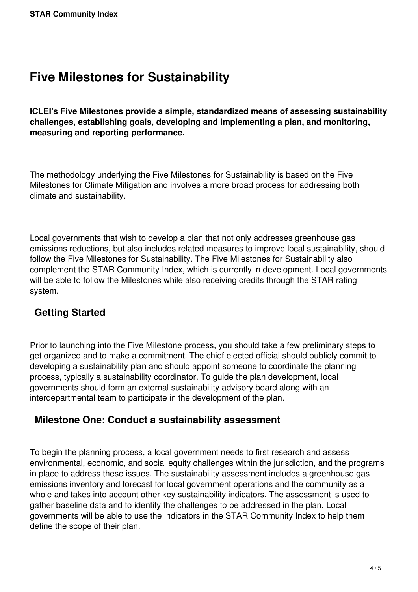# **Five Milestones for Sustainability**

**ICLEI's Five Milestones provide a simple, standardized means of assessing sustainability challenges, establishing goals, developing and implementing a plan, and monitoring, measuring and reporting performance.**

The methodology underlying the Five Milestones for Sustainability is based on the Five Milestones for Climate Mitigation and involves a more broad process for addressing both climate and sustainability.

Local governments that wish to develop a plan that not only addresses greenhouse gas emissions reductions, but also includes related measures to improve local sustainability, should follow the Five Milestones for Sustainability. The Five Milestones for Sustainability also complement the STAR Community Index, which is currently in development. Local governments will be able to follow the Milestones while also receiving credits through the STAR rating system.

## **Getting Started**

Prior to launching into the Five Milestone process, you should take a few preliminary steps to get organized and to make a commitment. The chief elected official should publicly commit to developing a sustainability plan and should appoint someone to coordinate the planning process, typically a sustainability coordinator. To guide the plan development, local governments should form an external sustainability advisory board along with an interdepartmental team to participate in the development of the plan.

### **Milestone One: Conduct a sustainability assessment**

To begin the planning process, a local government needs to first research and assess environmental, economic, and social equity challenges within the jurisdiction, and the programs in place to address these issues. The sustainability assessment includes a greenhouse gas emissions inventory and forecast for local government operations and the community as a whole and takes into account other key sustainability indicators. The assessment is used to gather baseline data and to identify the challenges to be addressed in the plan. Local governments will be able to use the indicators in the STAR Community Index to help them define the scope of their plan.